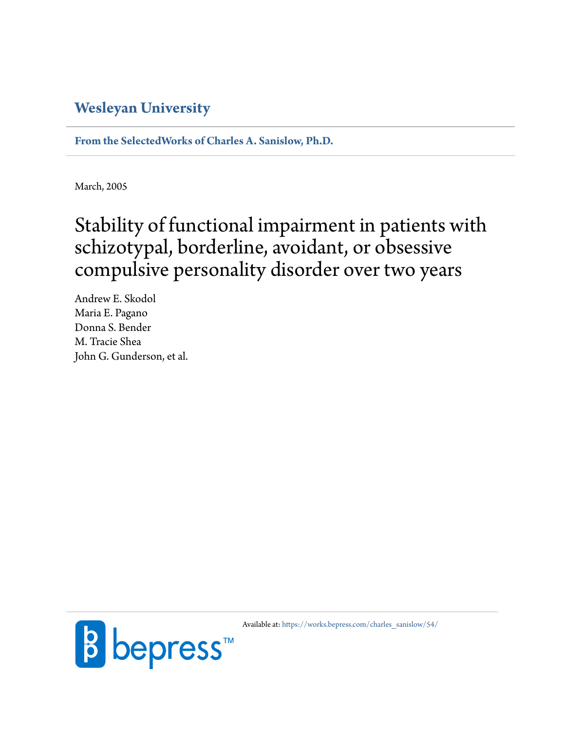# **[Wesleyan University](http://www.wesleyan.edu)**

**[From the SelectedWorks of Charles A. Sanislow, Ph.D.](https://works.bepress.com/charles_sanislow/)**

March, 2005

# Stability of functional impairment in patients with schizotypal, borderline, avoidant, or obsessive compulsive personality disorder over two years

Andrew E. Skodol Maria E. Pagano Donna S. Bender M. Tracie Shea John G. Gunderson, et al.



Available at: [https://works.bepress.com/charles\\_sanislow/54/](https://works.bepress.com/charles_sanislow/54/)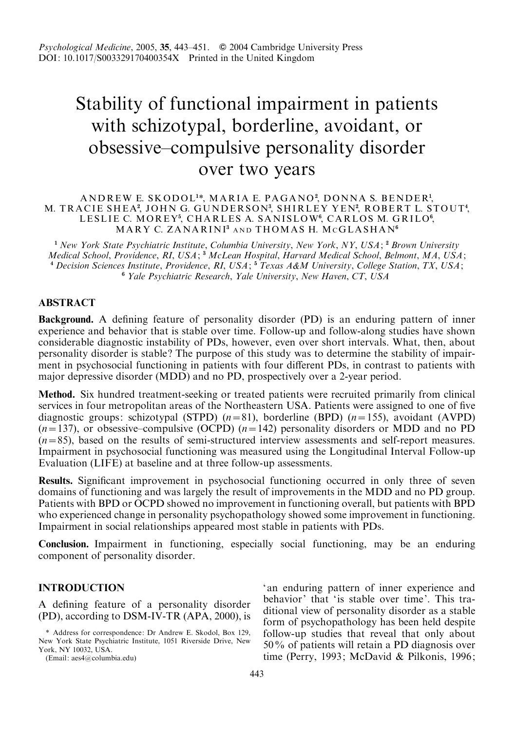# Stability of functional impairment in patients with schizotypal, borderline, avoidant, or obsessive–compulsive personality disorder over two years

#### ANDREW E. SKODOL<sup>1\*</sup>, MARIA E. PAGANO<sup>2</sup>, DONNA S. BENDER<sup>1</sup>, M. TRACIE SHEA?, JOHN G. GUNDERSON3, SHIRLEY YEN?, ROBERT L. STOUT4, LESLIE C. MOREY<sup>5</sup>, CHARLES A. SANISLOW<sup>6</sup>, CARLOS M. GRILO<sup>6</sup>, MARY C. ZANARINI<sup>3</sup> AND THOMAS H. MCGLASHAN<sup>6</sup>

<sup>1</sup> New York State Psychiatric Institute, Columbia University, New York, NY, USA; <sup>2</sup> Brown University Medical School, Providence, RI, USA;  $^3$  McLean Hospital, Harvard Medical School, Belmont, MA, USA; <sup>4</sup> Decision Sciences Institute, Providence, RI, USA; <sup>5</sup> Texas A&M University, College Station, TX, USA; <sup>6</sup> Yale Psychiatric Research, Yale University, New Haven, CT, USA

# ABSTRACT

Background. A defining feature of personality disorder (PD) is an enduring pattern of inner experience and behavior that is stable over time. Follow-up and follow-along studies have shown considerable diagnostic instability of PDs, however, even over short intervals. What, then, about personality disorder is stable ? The purpose of this study was to determine the stability of impairment in psychosocial functioning in patients with four different PDs, in contrast to patients with major depressive disorder (MDD) and no PD, prospectively over a 2-year period.

Method. Six hundred treatment-seeking or treated patients were recruited primarily from clinical services in four metropolitan areas of the Northeastern USA. Patients were assigned to one of five diagnostic groups: schizotypal (STPD)  $(n=81)$ , borderline (BPD)  $(n=155)$ , avoidant (AVPD)  $(n=137)$ , or obsessive–compulsive (OCPD)  $(n=142)$  personality disorders or MDD and no PD  $(n=85)$ , based on the results of semi-structured interview assessments and self-report measures. Impairment in psychosocial functioning was measured using the Longitudinal Interval Follow-up Evaluation (LIFE) at baseline and at three follow-up assessments.

Results. Significant improvement in psychosocial functioning occurred in only three of seven domains of functioning and was largely the result of improvements in the MDD and no PD group. Patients with BPD or OCPD showed no improvement in functioning overall, but patients with BPD who experienced change in personality psychopathology showed some improvement in functioning. Impairment in social relationships appeared most stable in patients with PDs.

Conclusion. Impairment in functioning, especially social functioning, may be an enduring component of personality disorder.

### **INTRODUCTION**

A defining feature of a personality disorder (PD), according to DSM-IV-TR (APA, 2000), is

(Email: aes4@columbia.edu)

'an enduring pattern of inner experience and behavior' that 'is stable over time'. This traditional view of personality disorder as a stable form of psychopathology has been held despite follow-up studies that reveal that only about 50% of patients will retain a PD diagnosis over time (Perry, 1993; McDavid & Pilkonis, 1996;

<sup>\*</sup> Address for correspondence: Dr Andrew E. Skodol, Box 129, New York State Psychiatric Institute, 1051 Riverside Drive, New York, NY 10032, USA.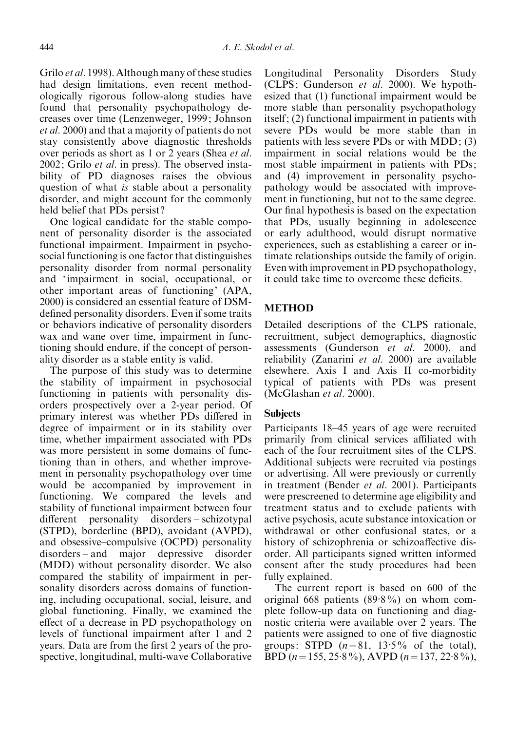Grilo et al. 1998). Although many of these studies had design limitations, even recent methodologically rigorous follow-along studies have found that personality psychopathology decreases over time (Lenzenweger, 1999; Johnson et al. 2000) and that a majority of patients do not stay consistently above diagnostic thresholds over periods as short as 1 or 2 years (Shea et al. 2002; Grilo et al. in press). The observed instability of PD diagnoses raises the obvious question of what is stable about a personality disorder, and might account for the commonly held belief that PDs persist?

One logical candidate for the stable component of personality disorder is the associated functional impairment. Impairment in psychosocial functioning is one factor that distinguishes personality disorder from normal personality and 'impairment in social, occupational, or other important areas of functioning' (APA, 2000) is considered an essential feature of DSMdefined personality disorders. Even if some traits or behaviors indicative of personality disorders wax and wane over time, impairment in functioning should endure, if the concept of personality disorder as a stable entity is valid.

The purpose of this study was to determine the stability of impairment in psychosocial functioning in patients with personality disorders prospectively over a 2-year period. Of primary interest was whether PDs differed in degree of impairment or in its stability over time, whether impairment associated with PDs was more persistent in some domains of functioning than in others, and whether improvement in personality psychopathology over time would be accompanied by improvement in functioning. We compared the levels and stability of functional impairment between four different personality disorders – schizotypal (STPD), borderline (BPD), avoidant (AVPD), and obsessive–compulsive (OCPD) personality disorders – and major depressive disorder (MDD) without personality disorder. We also compared the stability of impairment in personality disorders across domains of functioning, including occupational, social, leisure, and global functioning. Finally, we examined the effect of a decrease in PD psychopathology on levels of functional impairment after 1 and 2 years. Data are from the first 2 years of the prospective, longitudinal, multi-wave Collaborative Longitudinal Personality Disorders Study (CLPS; Gunderson et al. 2000). We hypothesized that (1) functional impairment would be more stable than personality psychopathology itself; (2) functional impairment in patients with severe PDs would be more stable than in patients with less severe PDs or with MDD; (3) impairment in social relations would be the most stable impairment in patients with PDs; and (4) improvement in personality psychopathology would be associated with improvement in functioning, but not to the same degree. Our final hypothesis is based on the expectation that PDs, usually beginning in adolescence or early adulthood, would disrupt normative experiences, such as establishing a career or intimate relationships outside the family of origin. Even with improvement in PD psychopathology, it could take time to overcome these deficits.

## **METHOD**

Detailed descriptions of the CLPS rationale, recruitment, subject demographics, diagnostic assessments (Gunderson et al. 2000), and reliability (Zanarini et al. 2000) are available elsewhere. Axis I and Axis II co-morbidity typical of patients with PDs was present (McGlashan et al. 2000).

#### Subjects

Participants 18–45 years of age were recruited primarily from clinical services affiliated with each of the four recruitment sites of the CLPS. Additional subjects were recruited via postings or advertising. All were previously or currently in treatment (Bender et al. 2001). Participants were prescreened to determine age eligibility and treatment status and to exclude patients with active psychosis, acute substance intoxication or withdrawal or other confusional states, or a history of schizophrenia or schizoaffective disorder. All participants signed written informed consent after the study procedures had been fully explained.

The current report is based on 600 of the original 668 patients (89. 8%) on whom complete follow-up data on functioning and diagnostic criteria were available over 2 years. The patients were assigned to one of five diagnostic groups: STPD  $(n=81, 13.5\%$  of the total), BPD  $(n=155, 25.8\%)$ , AVPD  $(n=137, 22.8\%)$ ,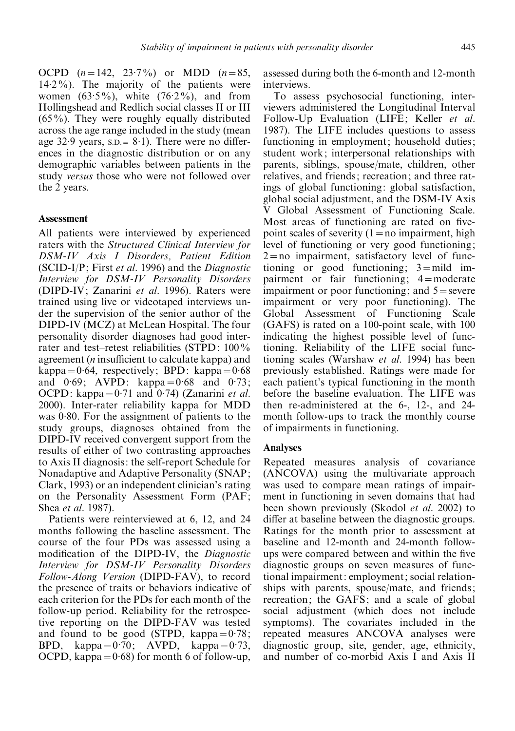OCPD  $(n=142, 23.7\%)$  or MDD  $(n=85,$ 14. 2%). The majority of the patients were women  $(63.5\%)$ , white  $(76.2\%)$ , and from Hollingshead and Redlich social classes II or III (65%). They were roughly equally distributed across the age range included in the study (mean age  $32.9$  years,  $S.D. = 8.1$ ). There were no differences in the diagnostic distribution or on any demographic variables between patients in the study versus those who were not followed over the 2 years.

#### Assessment

All patients were interviewed by experienced raters with the Structured Clinical Interview for DSM-IV Axis I Disorders, Patient Edition (SCID-I/P; First et al. 1996) and the Diagnostic Interview for DSM-IV Personality Disorders (DIPD-IV; Zanarini et al. 1996). Raters were trained using live or videotaped interviews under the supervision of the senior author of the DIPD-IV (MCZ) at McLean Hospital. The four personality disorder diagnoses had good interrater and test–retest reliabilities (STPD: 100% agreement (n insufficient to calculate kappa) and  $kappa = 0.64$ , respectively; BPD:  $kappa = 0.68$ and  $0.69$ ; AVPD: kappa= $0.68$  and  $0.73$ ; OCPD: kappa=0.71 and 0.74) (Zanarini et al. 2000). Inter-rater reliability kappa for MDD was 0.80. For the assignment of patients to the study groups, diagnoses obtained from the DIPD-IV received convergent support from the results of either of two contrasting approaches to Axis II diagnosis: the self-report Schedule for Nonadaptive and Adaptive Personality (SNAP; Clark, 1993) or an independent clinician's rating on the Personality Assessment Form (PAF; Shea et al. 1987).

Patients were reinterviewed at 6, 12, and 24 months following the baseline assessment. The course of the four PDs was assessed using a modification of the DIPD-IV, the Diagnostic Interview for DSM-IV Personality Disorders Follow-Along Version (DIPD-FAV), to record the presence of traits or behaviors indicative of each criterion for the PDs for each month of the follow-up period. Reliability for the retrospective reporting on the DIPD-FAV was tested and found to be good (STPD, kappa= $0.78$ ; BPD, kappa=0.70; AVPD, kappa=0.73, OCPD, kappa =  $0.68$ ) for month 6 of follow-up,

assessed during both the 6-month and 12-month interviews.

To assess psychosocial functioning, interviewers administered the Longitudinal Interval Follow-Up Evaluation (LIFE; Keller et al. 1987). The LIFE includes questions to assess functioning in employment; household duties; student work; interpersonal relationships with parents, siblings, spouse/mate, children, other relatives, and friends; recreation; and three ratings of global functioning: global satisfaction, global social adjustment, and the DSM-IV Axis V Global Assessment of Functioning Scale. Most areas of functioning are rated on fivepoint scales of severity  $(1=no$  impairment, high level of functioning or very good functioning;  $2=$ no impairment, satisfactory level of functioning or good functioning; 3=mild impairment or fair functioning; 4=moderate impairment or poor functioning; and  $5 =$ severe impairment or very poor functioning). The Global Assessment of Functioning Scale (GAFS) is rated on a 100-point scale, with 100 indicating the highest possible level of functioning. Reliability of the LIFE social functioning scales (Warshaw et al. 1994) has been previously established. Ratings were made for each patient's typical functioning in the month before the baseline evaluation. The LIFE was then re-administered at the 6-, 12-, and 24 month follow-ups to track the monthly course of impairments in functioning.

#### Analyses

Repeated measures analysis of covariance (ANCOVA) using the multivariate approach was used to compare mean ratings of impairment in functioning in seven domains that had been shown previously (Skodol *et al.* 2002) to differ at baseline between the diagnostic groups. Ratings for the month prior to assessment at baseline and 12-month and 24-month followups were compared between and within the five diagnostic groups on seven measures of functional impairment: employment; social relationships with parents, spouse/mate, and friends; recreation; the GAFS; and a scale of global social adjustment (which does not include symptoms). The covariates included in the repeated measures ANCOVA analyses were diagnostic group, site, gender, age, ethnicity, and number of co-morbid Axis I and Axis II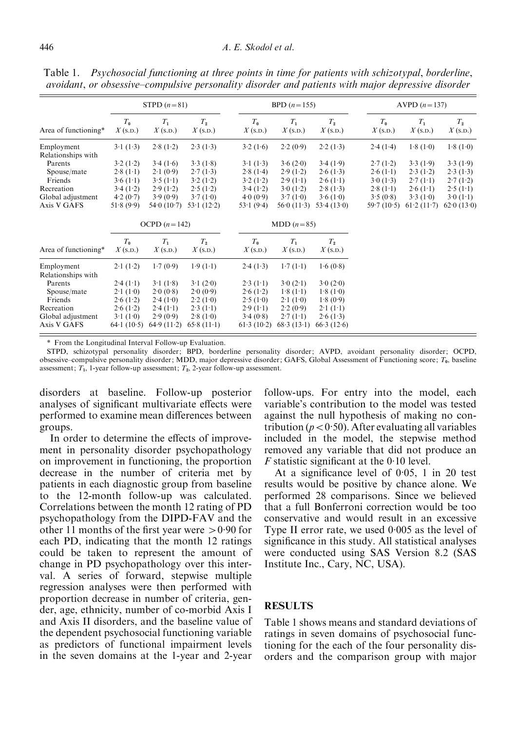|                      | STPD $(n=81)$             |                     |                          | $BPD (n=155)$           |                     |                    | AVPD $(n=137)$        |                     |                       |  |
|----------------------|---------------------------|---------------------|--------------------------|-------------------------|---------------------|--------------------|-----------------------|---------------------|-----------------------|--|
| Area of functioning* | $T_0$<br>$X$ (s.d.)       | $T_1$<br>$X$ (s.d.) | $T_{2}$<br>$X$ (s.p.)    | $T_0$<br>$X$ (s.p.)     | $T_1$<br>$X$ (s.p.) | $T_{2}$<br>X(S.D.) | $T_{0}$<br>$X$ (s.p.) | $T_1$<br>$X$ (s.p.) | $T_{2}$<br>$X$ (s.p.) |  |
| Employment           | 3.1(1.3)                  | 2.8(1.2)            | 2.3(1.3)                 | 3.2(1.6)                | 2.2(0.9)            | 2.2(1.3)           | 2.4(1.4)              | 1.8(1.0)            | 1.8(1.0)              |  |
| Relationships with   |                           |                     |                          |                         |                     |                    |                       |                     |                       |  |
| Parents              | 3.2(1.2)                  | 3.4(1.6)            | 3.3(1.8)                 | 3.1(1.3)                | 3.6(2.0)            | 3.4(1.9)           | 2.7(1.2)              | 3.3(1.9)            | 3.3(1.9)              |  |
| Spouse/mate          | 2.8(1.1)                  | 2.1(0.9)            | 2.7(1.3)                 | 2.8(1.4)                | 2.9(1.2)            | 2.6(1.3)           | 2.6(1.1)              | 2.3(1.2)            | 2.3(1.3)              |  |
| Friends              | 3.6(1.1)                  | 3.5(1.1)            | 3.2(1.2)                 | 3.2(1.2)                | 2.9(1.1)            | 2.6(1.1)           | 3.0(1.3)              | 2.7(1.1)            | 2.7(1.2)              |  |
| Recreation           | 3.4(1.2)                  | 2.9(1.2)            | 2.5(1.2)                 | 3.4(1.2)                | 3.0(1.2)            | 2.8(1.3)           | 2.8(1.1)              | 2.6(1.1)            | 2.5(1.1)              |  |
| Global adjustment    | 4.2(0.7)                  | 3.9(0.9)            | 3.7(1.0)                 | 4.0(0.9)                | 3.7(1.0)            | 3.6(1.0)           | 3.5(0.8)              | 3.3(1.0)            | 3.0(1.1)              |  |
| Axis V GAFS          | 51.8(9.9)                 | 54.0(10.7)          | $53 \cdot 1(12 \cdot 2)$ | $53 \cdot 1(9 \cdot 4)$ | 56.0(11.3)          | 53.4(13.0)         | 59.7(10.5)            | 61.2(11.7)          | 62.0(13.0)            |  |
|                      | OCPD $(n=142)$            |                     |                          |                         | MDD $(n=85)$        |                    |                       |                     |                       |  |
| Area of functioning* | $T_0$<br>$X$ (s.d.)       | $T_1$<br>$X$ (s.p.) | $T_{2}$<br>$X$ (s.p.)    | $T_0$<br>$X$ (s.p.)     | $T_1$<br>$X$ (s.d.) | $T_{2}$<br>X(S.D.) |                       |                     |                       |  |
| Employment           | 2.1(1.2)                  | 1.7(0.9)            | 1.9(1.1)                 | 2.4(1.3)                | 1.7(1.1)            | 1.6(0.8)           |                       |                     |                       |  |
| Relationships with   |                           |                     |                          |                         |                     |                    |                       |                     |                       |  |
| Parents              | 2.4(1.1)                  | 3.1(1.8)            | 3.1(2.0)                 | 2.3(1.1)                | 3.0(2.1)            | 3.0(2.0)           |                       |                     |                       |  |
| Spouse/mate          | 2.1(1.0)                  | 2.0(0.8)            | 2.0(0.9)                 | 2.6(1.2)                | 1.8(1.1)            | 1.8(1.0)           |                       |                     |                       |  |
| Friends              | 2.6(1.2)                  | 2.4(1.0)            | 2.2(1.0)                 | 2.5(1.0)                | 2.1(1.0)            | 1.8(0.9)           |                       |                     |                       |  |
| Recreation           | 2.6(1.2)                  | 2.4(1.1)            | 2.3(1.1)                 | 2.9(1.1)                | 2.2(0.9)            | 2.1(1.1)           |                       |                     |                       |  |
| Global adjustment    | 3.1(1.0)                  | 2.9(0.9)            | 2.8(1.0)                 | 3.4(0.8)                | 2.7(1.1)            | 2.6(1.3)           |                       |                     |                       |  |
| Axis V GAFS          | $64 \cdot 1 (10 \cdot 5)$ | 64.9(11.2)          | 65.8(11.1)               | 61.3(10.2)              | 68.3(13.1)          | 66.3(12.6)         |                       |                     |                       |  |

Table 1. Psychosocial functioning at three points in time for patients with schizotypal, borderline, avoidant, or obsessive–compulsive personality disorder and patients with major depressive disorder

\* From the Longitudinal Interval Follow-up Evaluation.

STPD, schizotypal personality disorder; BPD, borderline personality disorder; AVPD, avoidant personality disorder; OCPD, obsessive–compulsive personality disorder; MDD, major depressive disorder; GAFS, Global Assessment of Functioning score;  $T_0$ , baseline assessment;  $T_1$ , 1-year follow-up assessment;  $T_2$ , 2-year follow-up assessment.

disorders at baseline. Follow-up posterior analyses of significant multivariate effects were performed to examine mean differences between groups.

In order to determine the effects of improvement in personality disorder psychopathology on improvement in functioning, the proportion decrease in the number of criteria met by patients in each diagnostic group from baseline to the 12-month follow-up was calculated. Correlations between the month 12 rating of PD psychopathology from the DIPD-FAV and the other 11 months of the first year were  $> 0.90$  for each PD, indicating that the month 12 ratings could be taken to represent the amount of change in PD psychopathology over this interval. A series of forward, stepwise multiple regression analyses were then performed with proportion decrease in number of criteria, gender, age, ethnicity, number of co-morbid Axis I and Axis II disorders, and the baseline value of the dependent psychosocial functioning variable as predictors of functional impairment levels in the seven domains at the 1-year and 2-year

follow-ups. For entry into the model, each variable's contribution to the model was tested against the null hypothesis of making no contribution ( $p < 0.50$ ). After evaluating all variables included in the model, the stepwise method removed any variable that did not produce an  $F$  statistic significant at the 0.10 level.

At a significance level of 0. 05, 1 in 20 test results would be positive by chance alone. We performed 28 comparisons. Since we believed that a full Bonferroni correction would be too conservative and would result in an excessive Type II error rate, we used 0. 005 as the level of significance in this study. All statistical analyses were conducted using SAS Version 8.2 (SAS Institute Inc., Cary, NC, USA).

## RESULTS

Table 1 shows means and standard deviations of ratings in seven domains of psychosocial functioning for the each of the four personality disorders and the comparison group with major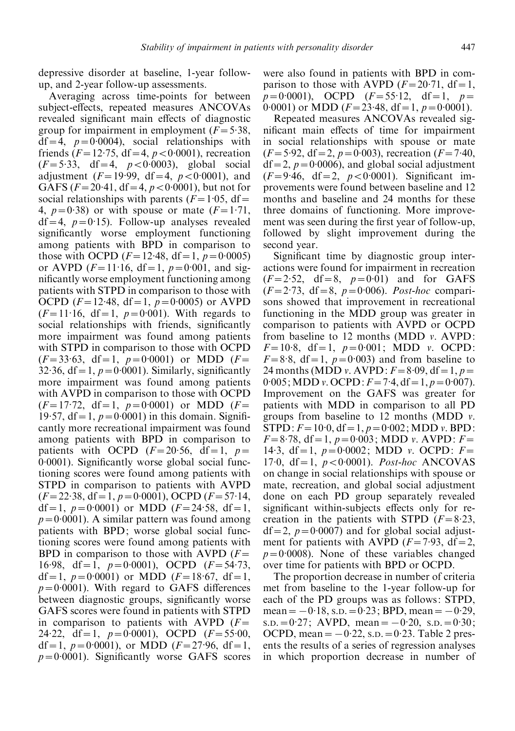depressive disorder at baseline, 1-year followup, and 2-year follow-up assessments.

Averaging across time-points for between subject-effects, repeated measures ANCOVAs revealed significant main effects of diagnostic group for impairment in employment  $(F = 5.38)$ ,  $df=4$ ,  $p=0.0004$ ), social relationships with friends  $(F=12.75, df=4, p<0.0001)$ , recreation  $(F=5.33, df=4, p<0.0003)$ , global social adjustment  $(F = 19.99, df = 4, p < 0.0001)$ , and GAFS  $(F = 20.41, df = 4, p < 0.0001)$ , but not for social relationships with parents  $(F=1.05, df=$ 4,  $p=0.38$ ) or with spouse or mate  $(F=1.71,$  $df=4$ ,  $p=0.15$ ). Follow-up analyses revealed significantly worse employment functioning among patients with BPD in comparison to those with OCPD  $(F = 12.48, df = 1, p = 0.0005)$ or AVPD  $(F=11.16, df=1, p=0.001, and sig$ nificantly worse employment functioning among patients with STPD in comparison to those with OCPD  $(F=12.48, df=1, p=0.0005)$  or AVPD  $(F=11.16, df=1, p=0.001)$ . With regards to social relationships with friends, significantly more impairment was found among patients with STPD in comparison to those with OCPD  $(F=33.63, df=1, p=0.0001)$  or MDD  $(F=$  $32.36$ , df = 1,  $p = 0.0001$ ). Similarly, significantly more impairment was found among patients with AVPD in comparison to those with OCPD  $(F=17.72, df=1, p=0.0001)$  or MDD  $(F=$ 19.57,  $df = 1$ ,  $p = 0.0001$ ) in this domain. Significantly more recreational impairment was found among patients with BPD in comparison to patients with OCPD  $(F=20.56, df=1, p=$ 0. 0001). Significantly worse global social functioning scores were found among patients with STPD in comparison to patients with AVPD  $(F = 22.38, df = 1, p = 0.0001)$ , OCPD  $(F = 57.14,$ df = 1,  $p=0.0001$  or MDD ( $F=24.58$ , df = 1,  $p=0.0001$ ). A similar pattern was found among patients with BPD; worse global social functioning scores were found among patients with BPD in comparison to those with AVPD  $(F=$ 16.98,  $df = 1$ ,  $p = 0.0001$ ), OCPD  $(F = 54.73)$ , df = 1,  $p = 0.0001$ ) or MDD ( $F = 18.67$ , df = 1,  $p=0.0001$ ). With regard to GAFS differences between diagnostic groups, significantly worse GAFS scores were found in patients with STPD in comparison to patients with AVPD  $(F=$ 24.22,  $df=1$ ,  $p=0.0001$ ), OCPD  $(F=55.00,$ df = 1,  $p = 0.0001$ , or MDD ( $F = 27.96$ , df = 1,  $p=0.0001$ ). Significantly worse GAFS scores

were also found in patients with BPD in comparison to those with AVPD  $(F=20.71, df=1,$  $p=0.0001$ ), OCPD  $(F=55.12, df=1, p=$ 0.0001) or MDD  $(F=23.48, df=1, p=0.0001)$ .

Repeated measures ANCOVAs revealed significant main effects of time for impairment in social relationships with spouse or mate  $(F = 5.92, df = 2, p = 0.003)$ , recreation  $(F = 7.40,$  $df = 2$ ,  $p = 0.0006$ , and global social adjustment  $(F=9.46, df=2, p<0.0001)$ . Significant improvements were found between baseline and 12 months and baseline and 24 months for these three domains of functioning. More improvement was seen during the first year of follow-up, followed by slight improvement during the second year.

Significant time by diagnostic group interactions were found for impairment in recreation  $(F=2.52, df=8, p=0.01)$  and for GAFS  $(F=2.73, df=8, p=0.006)$ . Post-hoc comparisons showed that improvement in recreational functioning in the MDD group was greater in comparison to patients with AVPD or OCPD from baseline to 12 months (MDD v. AVPD:  $F=10.8$ , df=1,  $p=0.001$ ; MDD v. OCPD:  $F=8.8$ , df=1,  $p=0.003$ ) and from baseline to 24 months (MDD v. AVPD:  $F = 8.09$ , df = 1, p = 0.005; MDD v. OCPD:  $F = 7.4$ , df = 1,  $p = 0.007$ ). Improvement on the GAFS was greater for patients with MDD in comparison to all PD groups from baseline to 12 months (MDD  $\nu$ .  $\overrightarrow{STPD}: F = 10 \cdot 0, df = 1, p = 0 \cdot 002; \text{MDD}$  v. BPD:  $F=8.78$ , df = 1,  $p=0.003$ ; MDD v. AVPD:  $F=$ 14.3, df = 1,  $p = 0.0002$ ; MDD v. OCPD:  $F =$ 17.0,  $df = 1, p < 0.0001$ ). *Post-hoc* ANCOVAS on change in social relationships with spouse or mate, recreation, and global social adjustment done on each PD group separately revealed significant within-subjects effects only for recreation in the patients with STPD  $(F=8.23,$  $df = 2$ ,  $p = 0.0007$ ) and for global social adjustment for patients with AVPD ( $F=7.93$ , df $=2$ ,  $p=0.0008$ ). None of these variables changed over time for patients with BPD or OCPD.

The proportion decrease in number of criteria met from baseline to the 1-year follow-up for each of the PD groups was as follows: STPD, mean =  $-0.18$ , s.p. =  $0.23$ ; BPD, mean =  $-0.29$ ,  $s.D. = 0.27$ ; AVPD, mean =  $-0.20$ , s.D. =  $0.30$ ; OCPD, mean  $= -0.22$ , s.p.  $= 0.23$ . Table 2 presents the results of a series of regression analyses in which proportion decrease in number of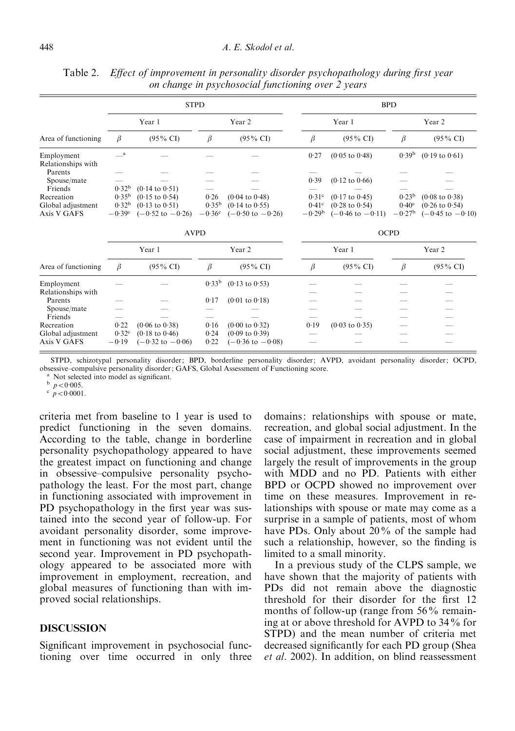|                                                |                                      | <b>STPD</b>                                                                           |                                       |                                                                                       | <b>BPD</b>                                         |                                                                                       |                                               |                                                                                       |  |
|------------------------------------------------|--------------------------------------|---------------------------------------------------------------------------------------|---------------------------------------|---------------------------------------------------------------------------------------|----------------------------------------------------|---------------------------------------------------------------------------------------|-----------------------------------------------|---------------------------------------------------------------------------------------|--|
|                                                | Year 1                               |                                                                                       | Year 2                                |                                                                                       |                                                    | Year 1                                                                                | Year 2                                        |                                                                                       |  |
| Area of functioning                            | β                                    | $(95\% \text{ CI})$                                                                   | $\beta$                               | $(95\% \text{ CI})$                                                                   | β                                                  | $(95\% \text{ CI})$                                                                   | $\beta$                                       | $(95\% \text{ CI})$                                                                   |  |
| Employment<br>Relationships with               | $\alpha$                             |                                                                                       |                                       |                                                                                       | 0.27                                               | $(0.05 \text{ to } 0.48)$                                                             | 0.39 <sup>b</sup>                             | $(0.19 \text{ to } 0.61)$                                                             |  |
| Parents<br>Spouse/mate<br>Friends              | $0.32^{b}$                           | $(0.14 \text{ to } 0.51)$                                                             |                                       |                                                                                       | 0.39                                               | $(0.12 \text{ to } 0.66)$                                                             |                                               |                                                                                       |  |
| Recreation<br>Global adjustment<br>Axis V GAFS | $0.35^{b}$<br>$0.32^{b}$<br>$-0.39c$ | $(0.15 \text{ to } 0.54)$<br>$(0.13 \text{ to } 0.51)$<br>$(-0.52 \text{ to } -0.26)$ | 0.26<br>$0.35^{b}$<br>$-0.36^{\circ}$ | $(0.04 \text{ to } 0.48)$<br>$(0.14 \text{ to } 0.55)$<br>$(-0.50 \text{ to } -0.26)$ | 0.31 <sup>c</sup><br>0.41 <sup>c</sup><br>$-0.29b$ | $(0.17 \text{ to } 0.45)$<br>$(0.28 \text{ to } 0.54)$<br>$(-0.46 \text{ to } -0.11)$ | $0.23^{b}$<br>$0.40^\circ$<br>$-0.27^{\rm b}$ | $(0.08 \text{ to } 0.38)$<br>$(0.26 \text{ to } 0.54)$<br>$(-0.45 \text{ to } -0.10)$ |  |
|                                                | <b>AVPD</b>                          |                                                                                       |                                       |                                                                                       | <b>OCPD</b>                                        |                                                                                       |                                               |                                                                                       |  |
|                                                | Year 1                               |                                                                                       | Year 2                                |                                                                                       | Year 1                                             |                                                                                       | Year 2                                        |                                                                                       |  |
| Area of functioning                            | β                                    | $(95\% \text{ CI})$                                                                   | β                                     | $(95\% \text{ CI})$                                                                   | β                                                  | $(95\% \text{ CI})$                                                                   | β                                             | $(95\% \text{ CI})$                                                                   |  |
| Employment<br>Relationships with               |                                      |                                                                                       | 0.33 <sup>b</sup>                     | $(0.13 \text{ to } 0.53)$                                                             |                                                    |                                                                                       |                                               |                                                                                       |  |
| Parents<br>Spouse/mate                         |                                      |                                                                                       | 0.17                                  | $(0.01 \text{ to } 0.18)$                                                             |                                                    |                                                                                       |                                               |                                                                                       |  |
| Friends<br>Recreation<br>Global adjustment     | 0.22<br>$0.32^{\circ}$               | $(0.06 \text{ to } 0.38)$<br>$(0.18 \text{ to } 0.46)$                                | 0.16<br>0.24                          | $(0.00 \text{ to } 0.32)$<br>$(0.09 \text{ to } 0.39)$                                | 0.19                                               | $(0.03 \text{ to } 0.35)$                                                             |                                               |                                                                                       |  |
| Axis V GAFS                                    | $-0.19$                              | $(-0.32 \text{ to } -0.06)$                                                           | 0.22                                  | $(-0.36 \text{ to } -0.08)$                                                           |                                                    |                                                                                       |                                               |                                                                                       |  |

Table 2. Effect of improvement in personality disorder psychopathology during first year on change in psychosocial functioning over 2 years

STPD, schizotypal personality disorder; BPD, borderline personality disorder; AVPD, avoidant personality disorder; OCPD, obsessive–compulsive personality disorder; GAFS, Global Assessment of Functioning score.<br><sup>a</sup> Not selected into model as significant.<br>b  $p < 0.005$ .

 $\frac{b}{c}$   $p < 0.005$ .<br>  $p < 0.0001$ .

criteria met from baseline to 1 year is used to predict functioning in the seven domains. According to the table, change in borderline personality psychopathology appeared to have the greatest impact on functioning and change in obsessive–compulsive personality psychopathology the least. For the most part, change in functioning associated with improvement in PD psychopathology in the first year was sustained into the second year of follow-up. For avoidant personality disorder, some improvement in functioning was not evident until the second year. Improvement in PD psychopathology appeared to be associated more with improvement in employment, recreation, and global measures of functioning than with improved social relationships.

#### DISCUSSION

Significant improvement in psychosocial functioning over time occurred in only three domains: relationships with spouse or mate, recreation, and global social adjustment. In the case of impairment in recreation and in global social adjustment, these improvements seemed largely the result of improvements in the group with MDD and no PD. Patients with either BPD or OCPD showed no improvement over time on these measures. Improvement in relationships with spouse or mate may come as a surprise in a sample of patients, most of whom have PDs. Only about 20% of the sample had such a relationship, however, so the finding is limited to a small minority.

In a previous study of the CLPS sample, we have shown that the majority of patients with PDs did not remain above the diagnostic threshold for their disorder for the first 12 months of follow-up (range from 56% remaining at or above threshold for AVPD to 34% for STPD) and the mean number of criteria met decreased significantly for each PD group (Shea et al. 2002). In addition, on blind reassessment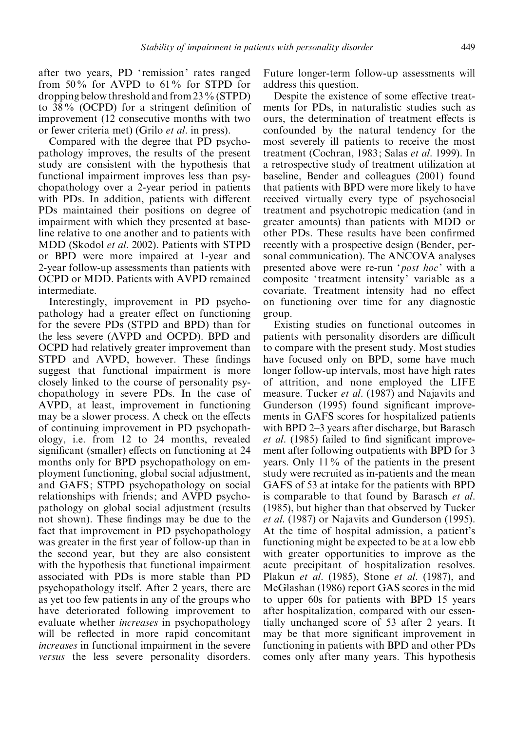after two years, PD 'remission' rates ranged from 50% for AVPD to 61% for STPD for dropping below threshold and from 23% (STPD) to 38% (OCPD) for a stringent definition of improvement (12 consecutive months with two or fewer criteria met) (Grilo et al. in press).

Compared with the degree that PD psychopathology improves, the results of the present study are consistent with the hypothesis that functional impairment improves less than psychopathology over a 2-year period in patients with PDs. In addition, patients with different PDs maintained their positions on degree of impairment with which they presented at baseline relative to one another and to patients with MDD (Skodol et al. 2002). Patients with STPD or BPD were more impaired at 1-year and 2-year follow-up assessments than patients with OCPD or MDD. Patients with AVPD remained intermediate.

Interestingly, improvement in PD psychopathology had a greater effect on functioning for the severe PDs (STPD and BPD) than for the less severe (AVPD and OCPD). BPD and OCPD had relatively greater improvement than STPD and AVPD, however. These findings suggest that functional impairment is more closely linked to the course of personality psychopathology in severe PDs. In the case of AVPD, at least, improvement in functioning may be a slower process. A check on the effects of continuing improvement in PD psychopathology, i.e. from 12 to 24 months, revealed significant (smaller) effects on functioning at 24 months only for BPD psychopathology on employment functioning, global social adjustment, and GAFS; STPD psychopathology on social relationships with friends; and AVPD psychopathology on global social adjustment (results not shown). These findings may be due to the fact that improvement in PD psychopathology was greater in the first year of follow-up than in the second year, but they are also consistent with the hypothesis that functional impairment associated with PDs is more stable than PD psychopathology itself. After 2 years, there are as yet too few patients in any of the groups who have deteriorated following improvement to evaluate whether increases in psychopathology will be reflected in more rapid concomitant increases in functional impairment in the severe versus the less severe personality disorders.

Future longer-term follow-up assessments will address this question.

Despite the existence of some effective treatments for PDs, in naturalistic studies such as ours, the determination of treatment effects is confounded by the natural tendency for the most severely ill patients to receive the most treatment (Cochran, 1983; Salas et al. 1999). In a retrospective study of treatment utilization at baseline, Bender and colleagues (2001) found that patients with BPD were more likely to have received virtually every type of psychosocial treatment and psychotropic medication (and in greater amounts) than patients with MDD or other PDs. These results have been confirmed recently with a prospective design (Bender, personal communication). The ANCOVA analyses presented above were re-run 'post hoc' with a composite 'treatment intensity' variable as a covariate. Treatment intensity had no effect on functioning over time for any diagnostic group.

Existing studies on functional outcomes in patients with personality disorders are difficult to compare with the present study. Most studies have focused only on BPD, some have much longer follow-up intervals, most have high rates of attrition, and none employed the LIFE measure. Tucker *et al.* (1987) and Najavits and Gunderson (1995) found significant improvements in GAFS scores for hospitalized patients with BPD 2–3 years after discharge, but Barasch et al. (1985) failed to find significant improvement after following outpatients with BPD for 3 years. Only 11% of the patients in the present study were recruited as in-patients and the mean GAFS of 53 at intake for the patients with BPD is comparable to that found by Barasch et al. (1985), but higher than that observed by Tucker et al. (1987) or Najavits and Gunderson (1995). At the time of hospital admission, a patient's functioning might be expected to be at a low ebb with greater opportunities to improve as the acute precipitant of hospitalization resolves. Plakun et al. (1985), Stone et al. (1987), and McGlashan (1986) report GAS scores in the mid to upper 60s for patients with BPD 15 years after hospitalization, compared with our essentially unchanged score of 53 after 2 years. It may be that more significant improvement in functioning in patients with BPD and other PDs comes only after many years. This hypothesis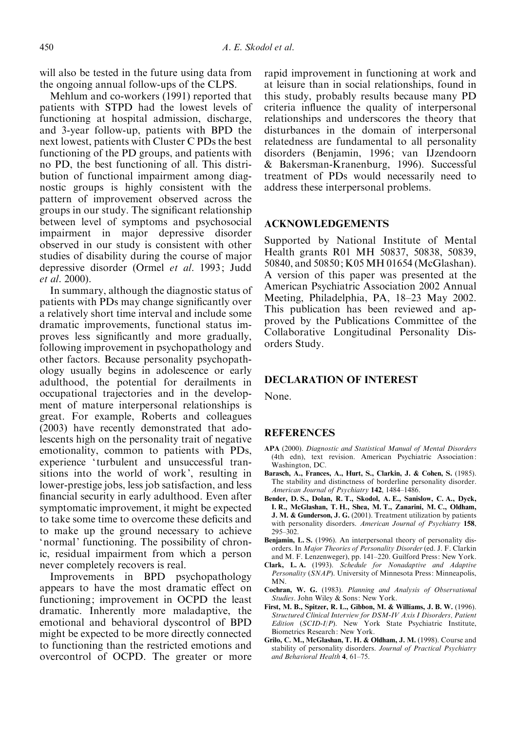will also be tested in the future using data from the ongoing annual follow-ups of the CLPS.

Mehlum and co-workers (1991) reported that patients with STPD had the lowest levels of functioning at hospital admission, discharge, and 3-year follow-up, patients with BPD the next lowest, patients with Cluster C PDs the best functioning of the PD groups, and patients with no PD, the best functioning of all. This distribution of functional impairment among diagnostic groups is highly consistent with the pattern of improvement observed across the groups in our study. The significant relationship between level of symptoms and psychosocial impairment in major depressive disorder observed in our study is consistent with other studies of disability during the course of major depressive disorder (Ormel et al. 1993; Judd et al. 2000).

In summary, although the diagnostic status of patients with PDs may change significantly over a relatively short time interval and include some dramatic improvements, functional status improves less significantly and more gradually, following improvement in psychopathology and other factors. Because personality psychopathology usually begins in adolescence or early adulthood, the potential for derailments in occupational trajectories and in the development of mature interpersonal relationships is great. For example, Roberts and colleagues (2003) have recently demonstrated that adolescents high on the personality trait of negative emotionality, common to patients with PDs, experience 'turbulent and unsuccessful transitions into the world of work', resulting in lower-prestige jobs, less job satisfaction, and less financial security in early adulthood. Even after symptomatic improvement, it might be expected to take some time to overcome these deficits and to make up the ground necessary to achieve 'normal' functioning. The possibility of chronic, residual impairment from which a person never completely recovers is real.

Improvements in BPD psychopathology appears to have the most dramatic effect on functioning; improvement in OCPD the least dramatic. Inherently more maladaptive, the emotional and behavioral dyscontrol of BPD might be expected to be more directly connected to functioning than the restricted emotions and overcontrol of OCPD. The greater or more rapid improvement in functioning at work and at leisure than in social relationships, found in this study, probably results because many PD criteria influence the quality of interpersonal relationships and underscores the theory that disturbances in the domain of interpersonal relatedness are fundamental to all personality disorders (Benjamin, 1996; van IJzendoorn & Bakersman-Kranenburg, 1996). Successful treatment of PDs would necessarily need to address these interpersonal problems.

#### ACKNOWLEDGEMENTS

Supported by National Institute of Mental Health grants R01 MH 50837, 50838, 50839, 50840, and 50850; K05 MH 01654 (McGlashan). A version of this paper was presented at the American Psychiatric Association 2002 Annual Meeting, Philadelphia, PA, 18–23 May 2002. This publication has been reviewed and approved by the Publications Committee of the Collaborative Longitudinal Personality Disorders Study.

#### DECLARATION OF INTEREST

None.

#### REFERENCES

- APA (2000). Diagnostic and Statistical Manual of Mental Disorders (4th edn), text revision. American Psychiatric Association: Washington, DC.
- Barasch, A., Frances, A., Hurt, S., Clarkin, J. & Cohen, S. (1985). The stability and distinctness of borderline personality disorder. American Journal of Psychiatry 142, 1484-1486.
- Bender, D. S., Dolan, R. T., Skodol, A. E., Sanislow, C. A., Dyck, I. R., McGlashan, T. H., Shea, M. T., Zanarini, M. C., Oldham, J. M. & Gunderson, J. G. (2001). Treatment utilization by patients with personality disorders. American Journal of Psychiatry 158, 295–302.
- Benjamin, L. S. (1996). An interpersonal theory of personality disorders. In Major Theories of Personality Disorder (ed. J. F. Clarkin and M. F. Lenzenweger), pp. 141–220. Guilford Press: New York.
- Clark, L. A. (1993). Schedule for Nonadaptive and Adaptive Personality (SNAP). University of Minnesota Press: Minneapolis, MN.
- Cochran, W. G. (1983). Planning and Analysis of Observational Studies. John Wiley & Sons: New York.
- First, M. B., Spitzer, R. L., Gibbon, M. & Williams, J. B. W. (1996). Structured Clinical Interview for DSM-IV Axis I Disorders, Patient Edition (SCID-I/P). New York State Psychiatric Institute, Biometrics Research: New York.
- Grilo, C. M., McGlashan, T. H. & Oldham, J. M. (1998). Course and stability of personality disorders. Journal of Practical Psychiatry and Behavioral Health 4, 61–75.